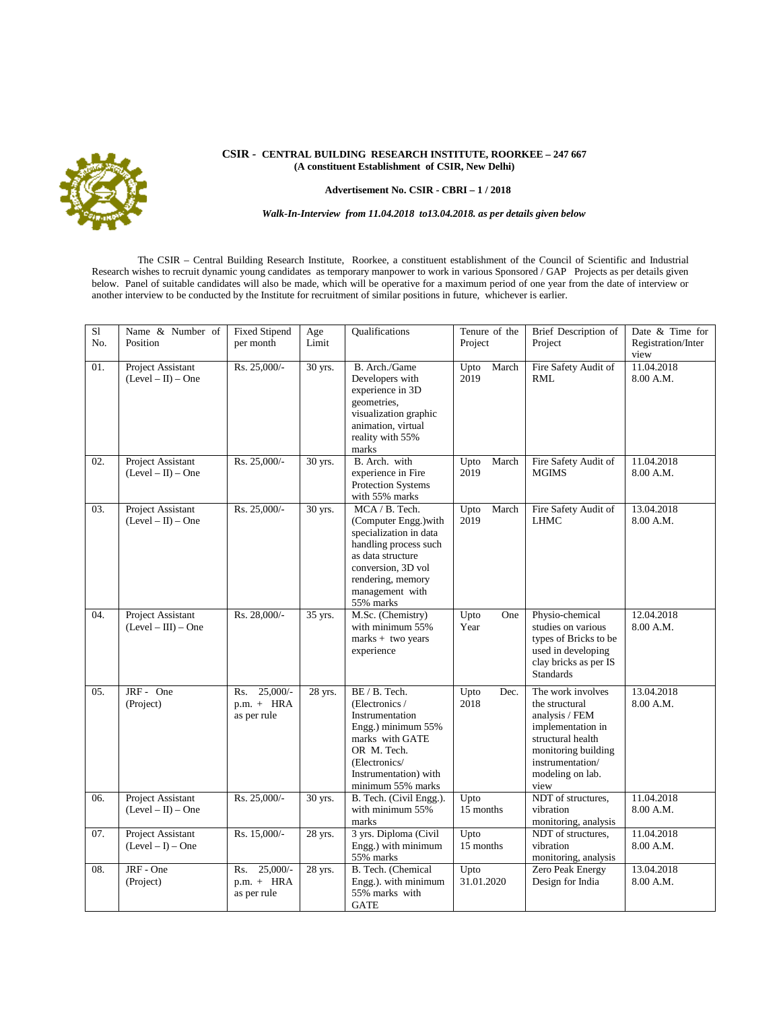

### **CSIR** *-* **CENTRAL BUILDING RESEARCH INSTITUTE, ROORKEE – 247 667 (A constituent Establishment of CSIR, New Delhi)**

 **Advertisement No. CSIR - CBRI – 1 / 2018**

*Walk-In-Interview from 11.04.2018 to13.04.2018. as per details given below*

The CSIR – Central Building Research Institute, Roorkee, a constituent establishment of the Council of Scientific and Industrial Research wishes to recruit dynamic young candidates as temporary manpower to work in various Sponsored / GAP Projects as per details given below. Panel of suitable candidates will also be made, which will be operative for a maximum period of one year from the date of interview or another interview to be conducted by the Institute for recruitment of similar positions in future, whichever is earlier.

| $\overline{SI}$<br>No. | Name & Number of<br>Position               | <b>Fixed Stipend</b><br>per month                | Age<br>Limit         | <b>Oualifications</b>                                                                                                                                                                    | Tenure of the<br>Project | Brief Description of<br>Project                                                                                                                                        | Date & Time for<br>Registration/Inter<br>view |
|------------------------|--------------------------------------------|--------------------------------------------------|----------------------|------------------------------------------------------------------------------------------------------------------------------------------------------------------------------------------|--------------------------|------------------------------------------------------------------------------------------------------------------------------------------------------------------------|-----------------------------------------------|
| 01.                    | Project Assistant<br>$(Level - II) - One$  | Rs. 25,000/-                                     | 30 yrs.              | B. Arch./Game<br>Developers with<br>experience in 3D<br>geometries,<br>visualization graphic<br>animation, virtual<br>reality with 55%<br>marks                                          | Upto<br>March<br>2019    | Fire Safety Audit of<br><b>RML</b>                                                                                                                                     | 11.04.2018<br>8.00 A.M.                       |
| 02.                    | Project Assistant<br>$(Level - II) - One$  | Rs. 25,000/-                                     | 30 yrs.              | B. Arch. with<br>experience in Fire<br>Protection Systems<br>with 55% marks                                                                                                              | Upto<br>March<br>2019    | Fire Safety Audit of<br><b>MGIMS</b>                                                                                                                                   | 11.04.2018<br>8.00 A.M.                       |
| 03.                    | Project Assistant<br>$(Level - II) - One$  | Rs. 25,000/-                                     | 30 yrs.              | MCA/B. Tech.<br>(Computer Engg.) with<br>specialization in data<br>handling process such<br>as data structure<br>conversion, 3D vol<br>rendering, memory<br>management with<br>55% marks | Upto<br>March<br>2019    | Fire Safety Audit of<br><b>LHMC</b>                                                                                                                                    | 13.04.2018<br>8.00 A.M.                       |
| 04.                    | Project Assistant<br>$(Level - III) - One$ | Rs. 28,000/-                                     | 35 yrs.              | M.Sc. (Chemistry)<br>with minimum 55%<br>$marks + two years$<br>experience                                                                                                               | Upto<br>One<br>Year      | Physio-chemical<br>studies on various<br>types of Bricks to be<br>used in developing<br>clay bricks as per IS<br><b>Standards</b>                                      | 12.04.2018<br>8.00 A.M.                       |
| 05.                    | JRF - One<br>(Project)                     | $25,000/-$<br>Rs.<br>$p.m. + HRA$<br>as per rule | $\overline{28}$ yrs. | BE / B. Tech.<br>(Electronics /<br>Instrumentation<br>Engg.) minimum 55%<br>marks with GATE<br>OR M. Tech.<br>(Electronics/<br>Instrumentation) with<br>minimum 55% marks                | Upto<br>Dec.<br>2018     | The work involves<br>the structural<br>analysis / FEM<br>implementation in<br>structural health<br>monitoring building<br>instrumentation/<br>modeling on lab.<br>view | 13.04.2018<br>8.00 A.M.                       |
| 06.                    | Project Assistant<br>$(Level - II) - One$  | Rs. 25,000/-                                     | $\frac{1}{30}$ yrs.  | B. Tech. (Civil Engg.).<br>with minimum 55%<br>marks                                                                                                                                     | Upto<br>15 months        | NDT of structures,<br>vibration<br>monitoring, analysis                                                                                                                | 11.04.2018<br>8.00 A.M.                       |
| 07.                    | Project Assistant<br>$(Level - I) - One$   | Rs. 15,000/-                                     | 28 yrs.              | 3 yrs. Diploma (Civil<br>Engg.) with minimum<br>55% marks                                                                                                                                | Upto<br>15 months        | NDT of structures,<br>vibration<br>monitoring, analysis                                                                                                                | 11.04.2018<br>8.00 A.M.                       |
| 08.                    | JRF - One<br>(Project)                     | $25,000/-$<br>Rs.<br>$p.m. + HRA$<br>as per rule | 28 yrs.              | B. Tech. (Chemical<br>Engg.). with minimum<br>55% marks with<br><b>GATE</b>                                                                                                              | Upto<br>31.01.2020       | Zero Peak Energy<br>Design for India                                                                                                                                   | 13.04.2018<br>8.00 A.M.                       |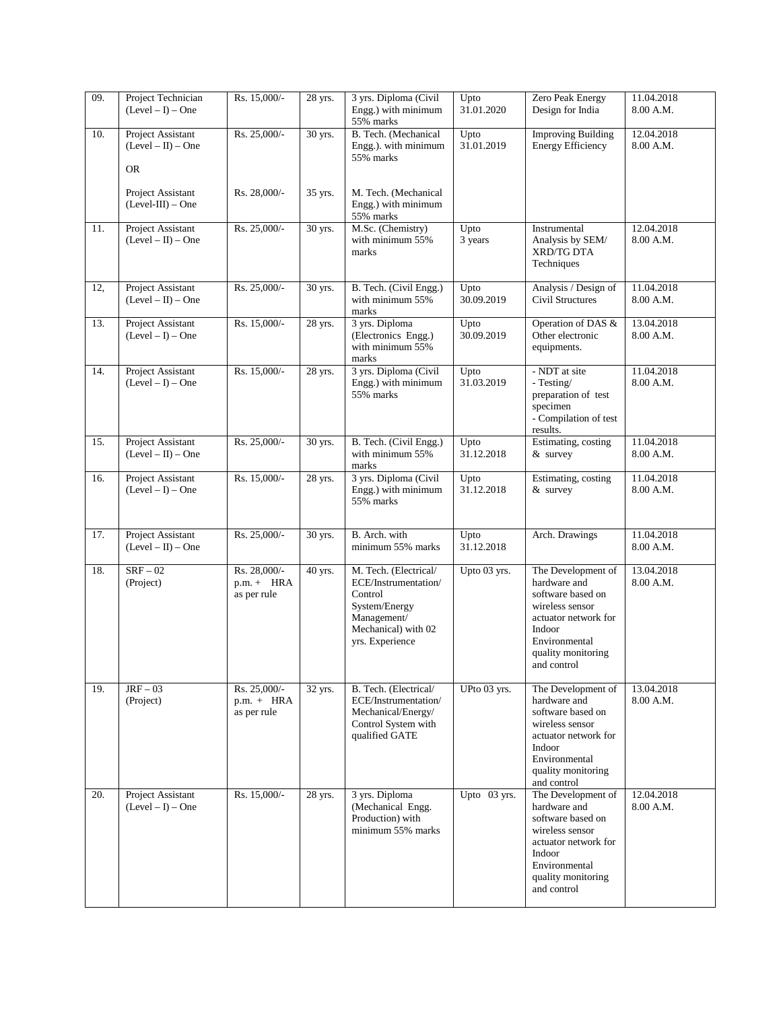| $\overline{09}$ . | Project Technician<br>$(Level - I) - One$ | Rs. 15,000/-                                | 28 yrs. | 3 yrs. Diploma (Civil<br>Engg.) with minimum<br>55% marks                                                                          | Upto<br>31.01.2020 | Zero Peak Energy<br>Design for India                                                                                                                               | 11.04.2018<br>8.00 A.M. |
|-------------------|-------------------------------------------|---------------------------------------------|---------|------------------------------------------------------------------------------------------------------------------------------------|--------------------|--------------------------------------------------------------------------------------------------------------------------------------------------------------------|-------------------------|
| 10.               | Project Assistant<br>$(Level - II) - One$ | Rs. 25,000/-                                | 30 yrs. | B. Tech. (Mechanical<br>Engg.). with minimum<br>55% marks                                                                          | Upto<br>31.01.2019 | <b>Improving Building</b><br><b>Energy Efficiency</b>                                                                                                              | 12.04.2018<br>8.00 A.M. |
|                   | <b>OR</b>                                 |                                             |         |                                                                                                                                    |                    |                                                                                                                                                                    |                         |
|                   | Project Assistant<br>$(Level-III) – One$  | Rs. 28,000/-                                | 35 yrs. | M. Tech. (Mechanical<br>Engg.) with minimum<br>55% marks                                                                           |                    |                                                                                                                                                                    |                         |
| 11.               | Project Assistant<br>$(Level - II) - One$ | Rs. 25,000/-                                | 30 yrs. | M.Sc. (Chemistry)<br>with minimum 55%<br>marks                                                                                     | Upto<br>3 years    | Instrumental<br>Analysis by SEM/<br>XRD/TG DTA<br>Techniques                                                                                                       | 12.04.2018<br>8.00 A.M. |
| 12,               | Project Assistant<br>$(Level - II) - One$ | Rs. 25,000/-                                | 30 yrs. | B. Tech. (Civil Engg.)<br>with minimum 55%<br>marks                                                                                | Upto<br>30.09.2019 | Analysis / Design of<br>Civil Structures                                                                                                                           | 11.04.2018<br>8.00 A.M. |
| 13.               | Project Assistant<br>$(Level - I) - One$  | Rs. 15,000/-                                | 28 yrs. | 3 yrs. Diploma<br>(Electronics Engg.)<br>with minimum 55%<br>marks                                                                 | Upto<br>30.09.2019 | Operation of DAS &<br>Other electronic<br>equipments.                                                                                                              | 13.04.2018<br>8.00 A.M. |
| 14.               | Project Assistant<br>$(Level - I) - One$  | Rs. 15,000/-                                | 28 yrs. | 3 yrs. Diploma (Civil<br>Engg.) with minimum<br>55% marks                                                                          | Upto<br>31.03.2019 | - NDT at site<br>- Testing/<br>preparation of test<br>specimen<br>- Compilation of test<br>results.                                                                | 11.04.2018<br>8.00 A.M. |
| 15.               | Project Assistant<br>$(Level - II) - One$ | Rs. 25,000/-                                | 30 yrs. | B. Tech. (Civil Engg.)<br>with minimum 55%<br>marks                                                                                | Upto<br>31.12.2018 | Estimating, costing<br>& survey                                                                                                                                    | 11.04.2018<br>8.00 A.M. |
| 16.               | Project Assistant<br>$(Level - I) - One$  | Rs. 15,000/-                                | 28 yrs. | 3 yrs. Diploma (Civil<br>Engg.) with minimum<br>55% marks                                                                          | Upto<br>31.12.2018 | Estimating, costing<br>& survey                                                                                                                                    | 11.04.2018<br>8.00 A.M. |
| 17.               | Project Assistant<br>$(Level - II) - One$ | Rs. 25,000/-                                | 30 yrs. | B. Arch. with<br>minimum 55% marks                                                                                                 | Upto<br>31.12.2018 | Arch. Drawings                                                                                                                                                     | 11.04.2018<br>8.00 A.M. |
| 18.               | $SRF-02$<br>(Project)                     | Rs. 28,000/-<br>$p.m. + HRA$<br>as per rule | 40 yrs. | M. Tech. (Electrical/<br>ECE/Instrumentation/<br>Control<br>System/Energy<br>Management/<br>Mechanical) with 02<br>yrs. Experience | Upto 03 yrs.       | The Development of<br>hardware and<br>software based on<br>wireless sensor<br>actuator network for<br>Indoor<br>Environmental<br>quality monitoring<br>and control | 13.04.2018<br>8.00 A.M. |
| 19.               | $JRF-03$<br>(Project)                     | Rs. 25,000/-<br>$p.m. + HRA$<br>as per rule | 32 yrs. | B. Tech. (Electrical/<br>ECE/Instrumentation/<br>Mechanical/Energy/<br>Control System with<br>qualified GATE                       | UPto 03 yrs.       | The Development of<br>hardware and<br>software based on<br>wireless sensor<br>actuator network for<br>Indoor<br>Environmental<br>quality monitoring<br>and control | 13.04.2018<br>8.00 A.M. |
| 20.               | Project Assistant<br>$(Level - I) - One$  | $R_s$ . 15,000/-                            | 28 yrs. | 3 yrs. Diploma<br>(Mechanical Engg.<br>Production) with<br>minimum 55% marks                                                       | Upto 03 yrs.       | The Development of<br>hardware and<br>software based on<br>wireless sensor<br>actuator network for<br>Indoor<br>Environmental<br>quality monitoring<br>and control | 12.04.2018<br>8.00 A.M. |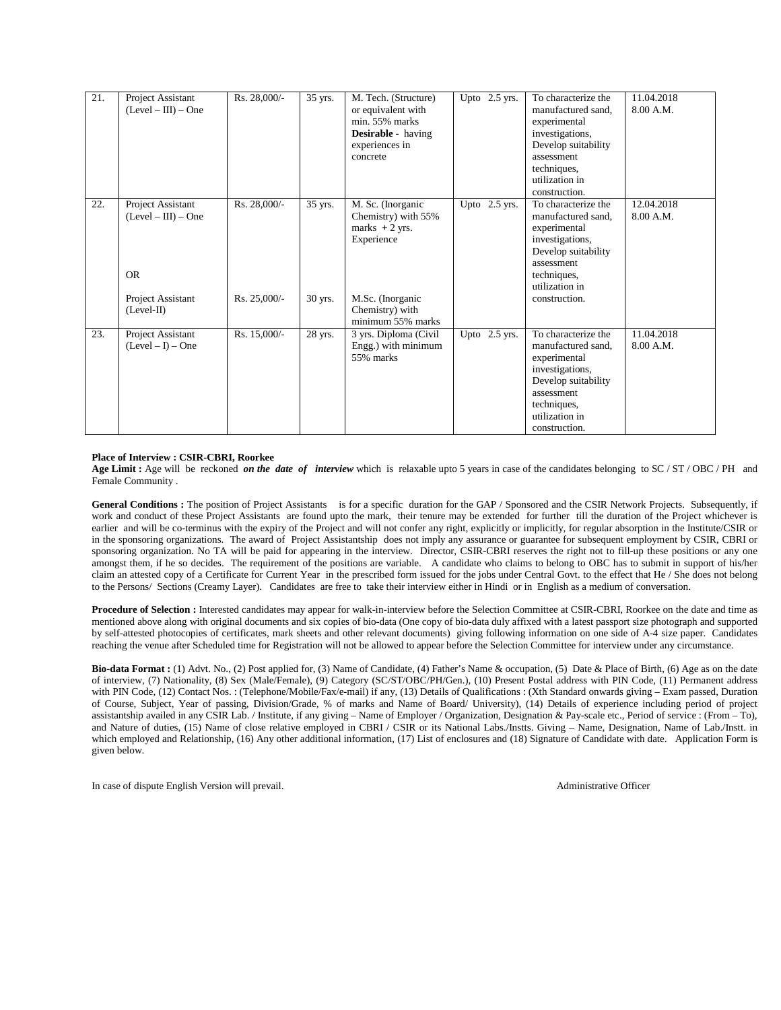| 21. | Project Assistant<br>$(Level - III) - One$                                                   | Rs. 28,000/-                   | 35 yrs.            | M. Tech. (Structure)<br>or equivalent with<br>min. 55% marks<br><b>Desirable</b> - having<br>experiences in<br>concrete               | Upto $2.5$ yrs. | To characterize the<br>manufactured sand.<br>experimental<br>investigations,<br>Develop suitability<br>assessment<br>techniques,<br>utilization in<br>construction. | 11.04.2018<br>8.00 A.M. |
|-----|----------------------------------------------------------------------------------------------|--------------------------------|--------------------|---------------------------------------------------------------------------------------------------------------------------------------|-----------------|---------------------------------------------------------------------------------------------------------------------------------------------------------------------|-------------------------|
| 22. | Project Assistant<br>$(Level - III) - One$<br><b>OR</b><br>Project Assistant<br>$(Level-II)$ | Rs. 28,000/-<br>$Rs. 25,000/-$ | 35 yrs.<br>30 yrs. | M. Sc. (Inorganic<br>Chemistry) with 55%<br>marks $+2$ yrs.<br>Experience<br>M.Sc. (Inorganic<br>Chemistry) with<br>minimum 55% marks | Upto $2.5$ yrs. | To characterize the<br>manufactured sand.<br>experimental<br>investigations,<br>Develop suitability<br>assessment<br>techniques,<br>utilization in<br>construction. | 12.04.2018<br>8.00 A.M. |
| 23. | Project Assistant<br>$(Level - I) - One$                                                     | Rs. $15,000/-$                 | 28 yrs.            | 3 yrs. Diploma (Civil)<br>Engg.) with minimum<br>55% marks                                                                            | Upto $2.5$ yrs. | To characterize the<br>manufactured sand,<br>experimental<br>investigations,<br>Develop suitability<br>assessment<br>techniques,<br>utilization in<br>construction. | 11.04.2018<br>8.00 A.M. |

#### **Place of Interview : CSIR-CBRI, Roorkee**

**Age Limit :** Age will be reckoned *on the date of interview* which is relaxable upto 5 years in case of the candidates belonging to SC / ST / OBC / PH and Female Community .

General Conditions : The position of Project Assistants is for a specific duration for the GAP / Sponsored and the CSIR Network Projects. Subsequently, if work and conduct of these Project Assistants are found upto the mark, their tenure may be extended for further till the duration of the Project whichever is earlier and will be co-terminus with the expiry of the Project and will not confer any right, explicitly or implicitly, for regular absorption in the Institute/CSIR or in the sponsoring organizations. The award of Project Assistantship does not imply any assurance or guarantee for subsequent employment by CSIR, CBRI or sponsoring organization. No TA will be paid for appearing in the interview. Director, CSIR-CBRI reserves the right not to fill-up these positions or any one amongst them, if he so decides. The requirement of the positions are variable. A candidate who claims to belong to OBC has to submit in support of his/her claim an attested copy of a Certificate for Current Year in the prescribed form issued for the jobs under Central Govt. to the effect that He / She does not belong to the Persons/ Sections (Creamy Layer). Candidates are free to take their interview either in Hindi or in English as a medium of conversation.

**Procedure of Selection :** Interested candidates may appear for walk-in-interview before the Selection Committee at CSIR-CBRI, Roorkee on the date and time as mentioned above along with original documents and six copies of bio-data (One copy of bio-data duly affixed with a latest passport size photograph and supported by self-attested photocopies of certificates, mark sheets and other relevant documents) giving following information on one side of A-4 size paper. Candidates reaching the venue after Scheduled time for Registration will not be allowed to appear before the Selection Committee for interview under any circumstance.

**Bio-data Format :** (1) Advt. No., (2) Post applied for, (3) Name of Candidate, (4) Father's Name & occupation, (5) Date & Place of Birth, (6) Age as on the date of interview, (7) Nationality, (8) Sex (Male/Female), (9) Category (SC/ST/OBC/PH/Gen.), (10) Present Postal address with PIN Code, (11) Permanent address with PIN Code, (12) Contact Nos. : (Telephone/Mobile/Fax/e-mail) if any, (13) Details of Qualifications : (Xth Standard onwards giving – Exam passed, Duration of Course, Subject, Year of passing, Division/Grade, % of marks and Name of Board/ University), (14) Details of experience including period of project assistantship availed in any CSIR Lab. / Institute, if any giving – Name of Employer / Organization, Designation & Pay-scale etc., Period of service : (From – To), and Nature of duties, (15) Name of close relative employed in CBRI / CSIR or its National Labs./Instts. Giving – Name, Designation, Name of Lab./Instt. in which employed and Relationship, (16) Any other additional information, (17) List of enclosures and (18) Signature of Candidate with date. Application Form is given below.

In case of dispute English Version will prevail. Administrative Officer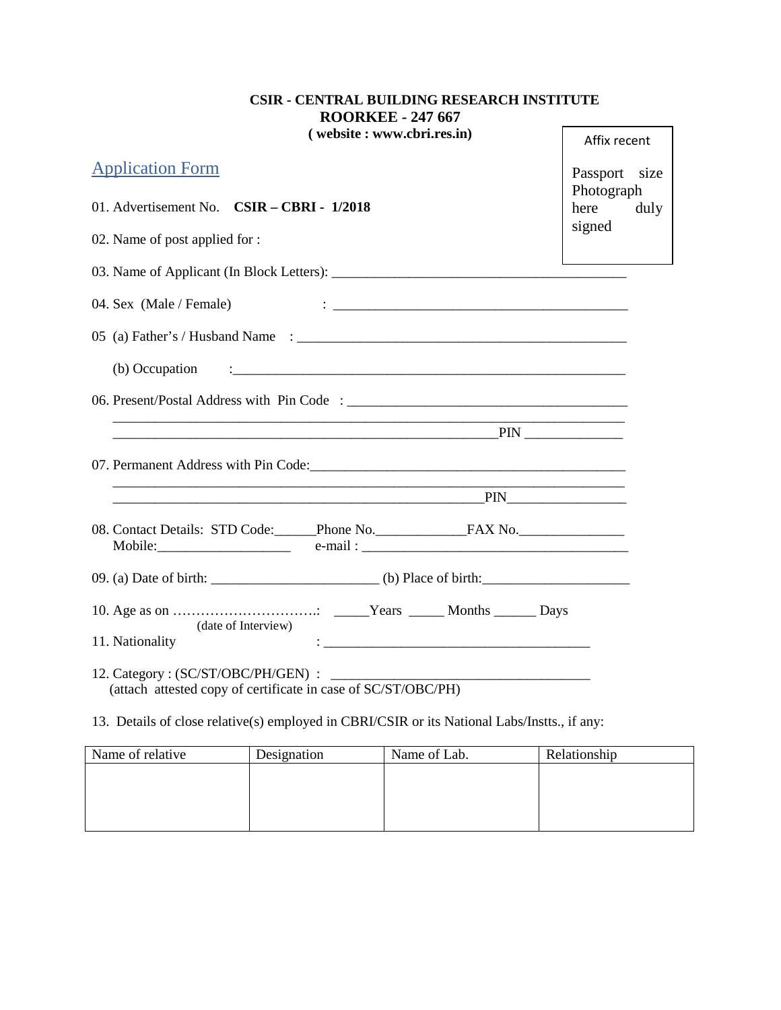# **CSIR - CENTRAL BUILDING RESEARCH INSTITUTE ROORKEE - 247 667** Affix recent

| (website: www.cbri.res.in) |  |  |
|----------------------------|--|--|
|                            |  |  |

| <b>Application Form</b>                                                                                |             |                                                                                                                                                                                                                                 | Passport size<br>Photograph |  |  |  |
|--------------------------------------------------------------------------------------------------------|-------------|---------------------------------------------------------------------------------------------------------------------------------------------------------------------------------------------------------------------------------|-----------------------------|--|--|--|
| 01. Advertisement No. CSIR - CBRI - 1/2018<br>here<br>duly<br>signed<br>02. Name of post applied for : |             |                                                                                                                                                                                                                                 |                             |  |  |  |
|                                                                                                        |             |                                                                                                                                                                                                                                 |                             |  |  |  |
| 04. Sex (Male / Female)                                                                                |             |                                                                                                                                                                                                                                 |                             |  |  |  |
|                                                                                                        |             |                                                                                                                                                                                                                                 |                             |  |  |  |
| (b) Occupation                                                                                         |             | <u> 1980 - Jan Samuel Barbara, martin da basar da basar da basar da basar da basar da basar da basar da basar da</u>                                                                                                            |                             |  |  |  |
|                                                                                                        |             |                                                                                                                                                                                                                                 |                             |  |  |  |
|                                                                                                        |             |                                                                                                                                                                                                                                 |                             |  |  |  |
|                                                                                                        |             |                                                                                                                                                                                                                                 |                             |  |  |  |
|                                                                                                        |             | <u>PIN</u> PIN                                                                                                                                                                                                                  |                             |  |  |  |
| 08. Contact Details: STD Code: Phone No. FAX No.                                                       |             |                                                                                                                                                                                                                                 |                             |  |  |  |
| 09. (a) Date of birth: (b) Place of birth:                                                             |             |                                                                                                                                                                                                                                 |                             |  |  |  |
| (date of Interview)<br>11. Nationality                                                                 |             | $\ddotsc$ . The contract of the contract of the contract of the contract of the contract of the contract of the contract of the contract of the contract of the contract of the contract of the contract of the contract of the |                             |  |  |  |
| (attach attested copy of certificate in case of SC/ST/OBC/PH)                                          |             |                                                                                                                                                                                                                                 |                             |  |  |  |
| 13. Details of close relative(s) employed in CBRI/CSIR or its National Labs/Instts., if any:           |             |                                                                                                                                                                                                                                 |                             |  |  |  |
| Name of relative                                                                                       | Designation | Name of Lab.                                                                                                                                                                                                                    | Relationship                |  |  |  |

| Name of relative | Designation | Name of Lab. | Relationship |
|------------------|-------------|--------------|--------------|
|                  |             |              |              |
|                  |             |              |              |
|                  |             |              |              |
|                  |             |              |              |